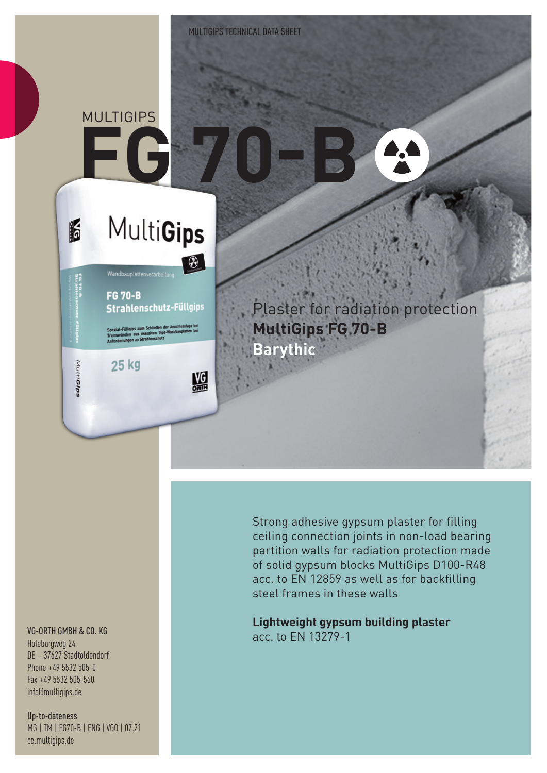# **FG 70-B MULTIGIPS**

K

MutiGips

## **MultiGips**

 $\bigcirc$ 

鰮

**FG 70-B Strahlenschutz-Füllgips** 

25 kg

Plaster for radiation protection **MultiGips FG 70-B Barythic**

#### VG-ORTH GMBH & CO. KG

Holeburgweg 24 DE – 37627 Stadtoldendorf Phone +49 5532 505-0 Fax +49 5532 505-560 info@multigips.de

Up-to-dateness MG | TM | FG70-B | ENG | VGO | 07.21 ce.multigips.de

Strong adhesive gypsum plaster for filling ceiling connection joints in non-load bearing partition walls for radiation protection made of solid gypsum blocks MultiGips D100-R48 acc. to EN 12859 as well as for backfilling steel frames in these walls

**Lightweight gypsum building plaster** acc. to EN 13279-1